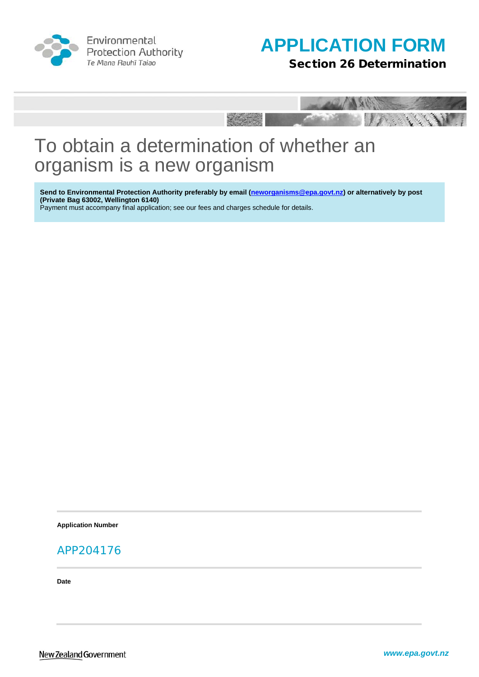

Environmental **Protection Authority** Te Mana Rauhī Taiao





# To obtain a determination of whether an organism is a new organism

**Send to Environmental Protection Authority preferably by email [\(neworganisms@epa.govt.nz\)](mailto:HSApplications@epa.govt.nz) or alternatively by post (Private Bag 63002, Wellington 6140)** 

Payment must accompany final application; see our fees and charges schedule for details.

**Application Number**

### APP204176

**Date**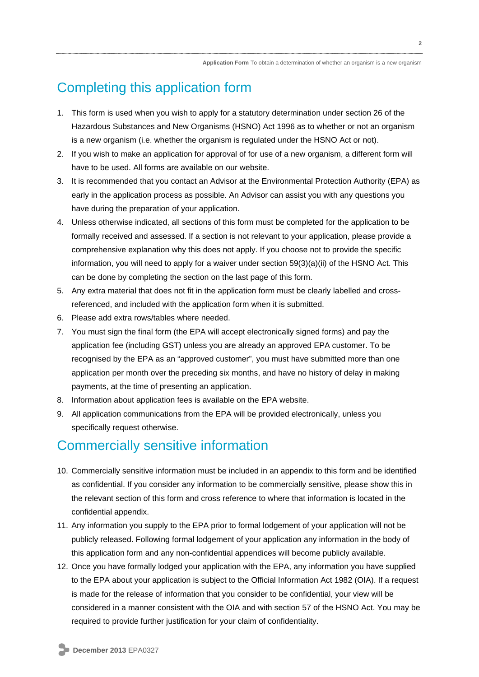### Completing this application form

- 1. This form is used when you wish to apply for a statutory determination under section 26 of the Hazardous Substances and New Organisms (HSNO) Act 1996 as to whether or not an organism is a new organism (i.e. whether the organism is regulated under the HSNO Act or not).
- 2. If you wish to make an application for approval of for use of a new organism, a different form will have to be used. All forms are available on our website.
- 3. It is recommended that you contact an Advisor at the Environmental Protection Authority (EPA) as early in the application process as possible. An Advisor can assist you with any questions you have during the preparation of your application.
- 4. Unless otherwise indicated, all sections of this form must be completed for the application to be formally received and assessed. If a section is not relevant to your application, please provide a comprehensive explanation why this does not apply. If you choose not to provide the specific information, you will need to apply for a waiver under section 59(3)(a)(ii) of the HSNO Act. This can be done by completing the section on the last page of this form.
- 5. Any extra material that does not fit in the application form must be clearly labelled and crossreferenced, and included with the application form when it is submitted.
- 6. Please add extra rows/tables where needed.
- 7. You must sign the final form (the EPA will accept electronically signed forms) and pay the application fee (including GST) unless you are already an approved EPA customer. To be recognised by the EPA as an "approved customer", you must have submitted more than one application per month over the preceding six months, and have no history of delay in making payments, at the time of presenting an application.
- 8. Information about application fees is available on the EPA website.
- 9. All application communications from the EPA will be provided electronically, unless you specifically request otherwise.

### Commercially sensitive information

- 10. Commercially sensitive information must be included in an appendix to this form and be identified as confidential. If you consider any information to be commercially sensitive, please show this in the relevant section of this form and cross reference to where that information is located in the confidential appendix.
- 11. Any information you supply to the EPA prior to formal lodgement of your application will not be publicly released. Following formal lodgement of your application any information in the body of this application form and any non-confidential appendices will become publicly available.
- 12. Once you have formally lodged your application with the EPA, any information you have supplied to the EPA about your application is subject to the Official Information Act 1982 (OIA). If a request is made for the release of information that you consider to be confidential, your view will be considered in a manner consistent with the OIA and with section 57 of the HSNO Act. You may be required to provide further justification for your claim of confidentiality.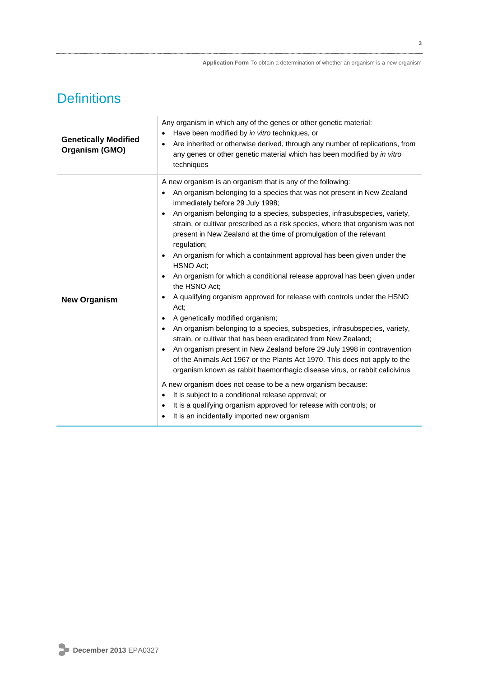## **Definitions**

| <b>Genetically Modified</b><br>Organism (GMO) | Any organism in which any of the genes or other genetic material:<br>Have been modified by in vitro techniques, or<br>$\bullet$<br>Are inherited or otherwise derived, through any number of replications, from<br>$\bullet$<br>any genes or other genetic material which has been modified by in vitro<br>techniques                                                                                                                                                                                                                                                                                                                                                                                                                                                                                                                                                                                                                                                                                                                                                                                                                                                                                                                                                                                                                                                                                                                                                                         |
|-----------------------------------------------|-----------------------------------------------------------------------------------------------------------------------------------------------------------------------------------------------------------------------------------------------------------------------------------------------------------------------------------------------------------------------------------------------------------------------------------------------------------------------------------------------------------------------------------------------------------------------------------------------------------------------------------------------------------------------------------------------------------------------------------------------------------------------------------------------------------------------------------------------------------------------------------------------------------------------------------------------------------------------------------------------------------------------------------------------------------------------------------------------------------------------------------------------------------------------------------------------------------------------------------------------------------------------------------------------------------------------------------------------------------------------------------------------------------------------------------------------------------------------------------------------|
| <b>New Organism</b>                           | A new organism is an organism that is any of the following:<br>An organism belonging to a species that was not present in New Zealand<br>immediately before 29 July 1998;<br>An organism belonging to a species, subspecies, infrasubspecies, variety,<br>$\bullet$<br>strain, or cultivar prescribed as a risk species, where that organism was not<br>present in New Zealand at the time of promulgation of the relevant<br>regulation;<br>An organism for which a containment approval has been given under the<br>$\bullet$<br>HSNO Act;<br>An organism for which a conditional release approval has been given under<br>$\bullet$<br>the HSNO Act;<br>A qualifying organism approved for release with controls under the HSNO<br>$\bullet$<br>Act:<br>A genetically modified organism;<br>$\bullet$<br>An organism belonging to a species, subspecies, infrasubspecies, variety,<br>$\bullet$<br>strain, or cultivar that has been eradicated from New Zealand;<br>An organism present in New Zealand before 29 July 1998 in contravention<br>of the Animals Act 1967 or the Plants Act 1970. This does not apply to the<br>organism known as rabbit haemorrhagic disease virus, or rabbit calicivirus<br>A new organism does not cease to be a new organism because:<br>It is subject to a conditional release approval; or<br>$\bullet$<br>It is a qualifying organism approved for release with controls; or<br>$\bullet$<br>It is an incidentally imported new organism<br>$\bullet$ |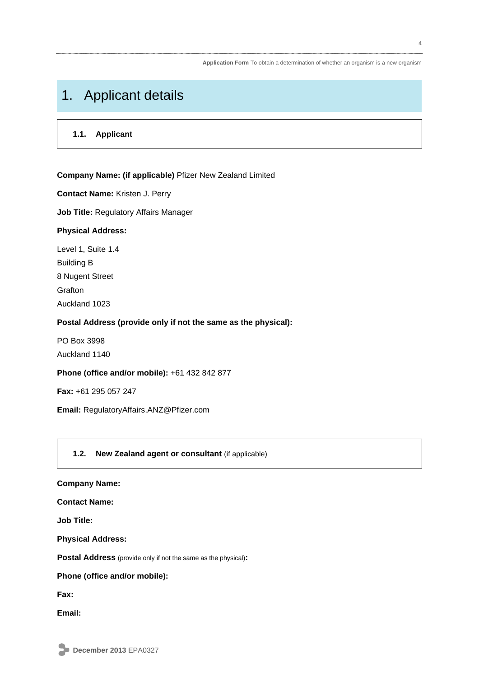### 1. Applicant details

#### **1.1. Applicant**

#### **Company Name: (if applicable)** Pfizer New Zealand Limited

**Contact Name:** Kristen J. Perry

**Job Title:** Regulatory Affairs Manager

#### **Physical Address:**

Level 1, Suite 1.4 Building B 8 Nugent Street **Grafton** Auckland 1023

#### **Postal Address (provide only if not the same as the physical):**

PO Box 3998 Auckland 1140

#### **Phone (office and/or mobile):** +61 432 842 877

**Fax:** +61 295 057 247

**Email:** [RegulatoryAffairs.ANZ@Pfizer.com](mailto:RegulatoryAffairs.ANZ@Pfizer.com)

#### **1.2. New Zealand agent or consultant** (if applicable)

| <b>Company Name:</b>                                                  |
|-----------------------------------------------------------------------|
| <b>Contact Name:</b>                                                  |
| <b>Job Title:</b>                                                     |
| <b>Physical Address:</b>                                              |
| <b>Postal Address</b> (provide only if not the same as the physical): |
| Phone (office and/or mobile):                                         |
| Fax:                                                                  |
| Email:                                                                |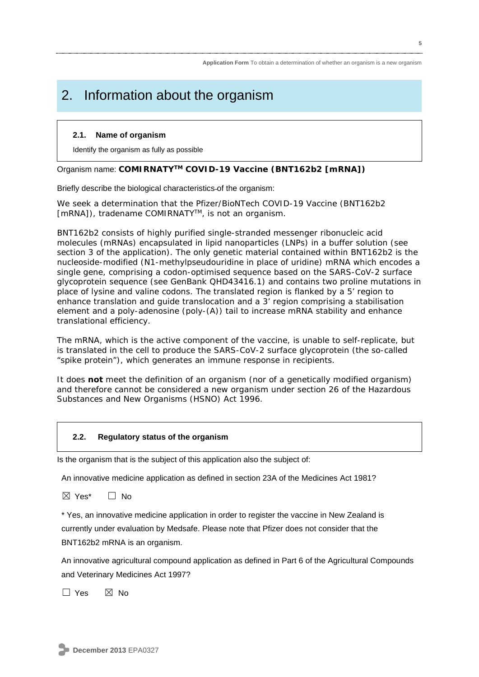## 2. Information about the organism

#### **2.1. Name of organism**

Identify the organism as fully as possible

#### Organism name: **COMIRNATYTM COVID-19 Vaccine (BNT162b2 [mRNA])**

Briefly describe the biological characteristics of the organism:

We seek a determination that the Pfizer/BioNTech COVID-19 Vaccine (BNT162b2 [mRNA]), tradename COMIRNATY<sup>™</sup>, is not an organism.

BNT162b2 consists of highly purified single-stranded messenger ribonucleic acid molecules (mRNAs) encapsulated in lipid nanoparticles (LNPs) in a buffer solution (see section 3 of the application). The only genetic material contained within BNT162b2 is the nucleoside-modified (N1-methylpseudouridine in place of uridine) mRNA which encodes a single gene, comprising a codon-optimised sequence based on the SARS-CoV-2 surface glycoprotein sequence (see GenBank QHD43416.1) and contains two proline mutations in place of lysine and valine codons. The translated region is flanked by a 5' region to enhance translation and guide translocation and a 3' region comprising a stabilisation element and a poly-adenosine (poly-(A)) tail to increase mRNA stability and enhance translational efficiency.

The mRNA, which is the active component of the vaccine, is unable to self-replicate, but is translated in the cell to produce the SARS-CoV-2 surface glycoprotein (the so-called "spike protein"), which generates an immune response in recipients.

It does **not** meet the definition of an organism (nor of a genetically modified organism) and therefore cannot be considered a new organism under section 26 of the Hazardous Substances and New Organisms (HSNO) Act 1996.

#### **2.2. Regulatory status of the organism**

Is the organism that is the subject of this application also the subject of:

An innovative medicine application as defined in section 23A of the Medicines Act 1981?

☒ Yes\* ☐ No

\* Yes, an innovative medicine application in order to register the vaccine in New Zealand is currently under evaluation by Medsafe. Please note that Pfizer does not consider that the BNT162b2 mRNA is an organism.

An innovative agricultural compound application as defined in Part 6 of the Agricultural Compounds and Veterinary Medicines Act 1997?

 $\square$  Yes  $\square$  No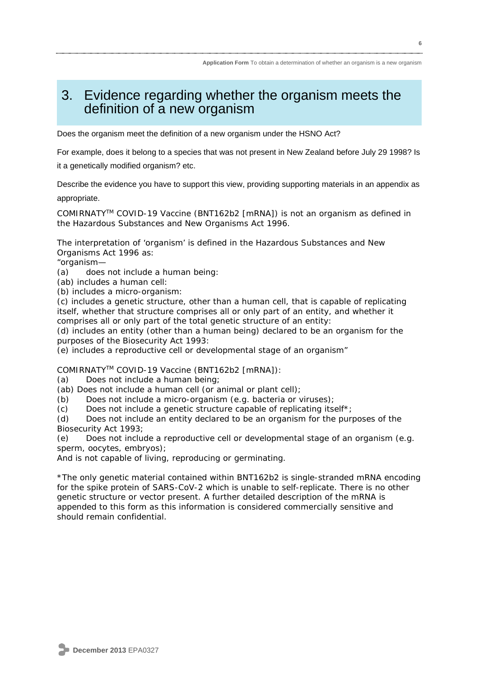### 3. Evidence regarding whether the organism meets the definition of a new organism

Does the organism meet the definition of a new organism under the HSNO Act?

For example, does it belong to a species that was not present in New Zealand before July 29 1998? Is it a genetically modified organism? etc.

Describe the evidence you have to support this view, providing supporting materials in an appendix as

appropriate.

COMIRNATYTM COVID-19 Vaccine (BNT162b2 [mRNA]) is not an organism as defined in the Hazardous Substances and New Organisms Act 1996.

The interpretation of 'organism' is defined in the Hazardous Substances and New Organisms Act 1996 as:

"organism—

(a) does not include a human being:

- (ab) includes a human cell:
- (b) includes a micro-organism:

(c) includes a genetic structure, other than a human cell, that is capable of replicating itself, whether that structure comprises all or only part of an entity, and whether it comprises all or only part of the total genetic structure of an entity:

(d) includes an entity (other than a human being) declared to be an organism for the purposes of the Biosecurity Act 1993:

(e) includes a reproductive cell or developmental stage of an organism"

COMIRNATYTM COVID-19 Vaccine (BNT162b2 [mRNA]):

(a) Does not include a human being;

(ab) Does not include a human cell (or animal or plant cell);

(b) Does not include a micro-organism (e.g. bacteria or viruses);

(c) Does not include a genetic structure capable of replicating itself\*;

(d) Does not include an entity declared to be an organism for the purposes of the Biosecurity Act 1993;

(e) Does not include a reproductive cell or developmental stage of an organism (e.g. sperm, oocytes, embryos);

And is not capable of living, reproducing or germinating.

\*The only genetic material contained within BNT162b2 is single-stranded mRNA encoding for the spike protein of SARS-CoV-2 which is unable to self-replicate. There is no other genetic structure or vector present. A further detailed description of the mRNA is appended to this form as this information is considered commercially sensitive and should remain confidential.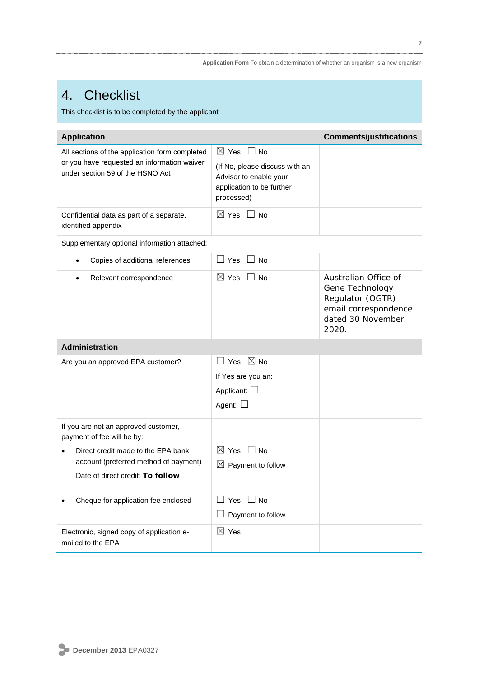### 4. Checklist

This checklist is to be completed by the applicant

| <b>Application</b>                                                                                                                                                                    |                                                                                                                                  | <b>Comments/justifications</b>                                                                                    |  |  |
|---------------------------------------------------------------------------------------------------------------------------------------------------------------------------------------|----------------------------------------------------------------------------------------------------------------------------------|-------------------------------------------------------------------------------------------------------------------|--|--|
| All sections of the application form completed<br>or you have requested an information waiver<br>under section 59 of the HSNO Act                                                     | $\boxtimes$ Yes $\Box$ No<br>(If No, please discuss with an<br>Advisor to enable your<br>application to be further<br>processed) |                                                                                                                   |  |  |
| Confidential data as part of a separate,<br>identified appendix                                                                                                                       | $\boxtimes$ Yes $\Box$ No                                                                                                        |                                                                                                                   |  |  |
| Supplementary optional information attached:                                                                                                                                          |                                                                                                                                  |                                                                                                                   |  |  |
| Copies of additional references<br>$\bullet$                                                                                                                                          | $\Box$ No<br>$\Box$ Yes                                                                                                          |                                                                                                                   |  |  |
| Relevant correspondence<br>$\bullet$                                                                                                                                                  | $\boxtimes$ Yes<br>$\sqcup$ No                                                                                                   | Australian Office of<br>Gene Technology<br>Regulator (OGTR)<br>email correspondence<br>dated 30 November<br>2020. |  |  |
| <b>Administration</b>                                                                                                                                                                 |                                                                                                                                  |                                                                                                                   |  |  |
| Are you an approved EPA customer?                                                                                                                                                     | $\Box$ Yes $\ \boxtimes$ No<br>If Yes are you an:<br>Applicant: $\Box$<br>Agent: $\square$                                       |                                                                                                                   |  |  |
| If you are not an approved customer,<br>payment of fee will be by:<br>Direct credit made to the EPA bank<br>account (preferred method of payment)<br>Date of direct credit: To follow | $\boxtimes$ Yes $\Box$ No<br>$\boxtimes$ Payment to follow                                                                       |                                                                                                                   |  |  |
| Cheque for application fee enclosed                                                                                                                                                   | $\sqcup$ No<br>Yes<br>Payment to follow                                                                                          |                                                                                                                   |  |  |
| Electronic, signed copy of application e-<br>mailed to the EPA                                                                                                                        | $\boxtimes$ Yes                                                                                                                  |                                                                                                                   |  |  |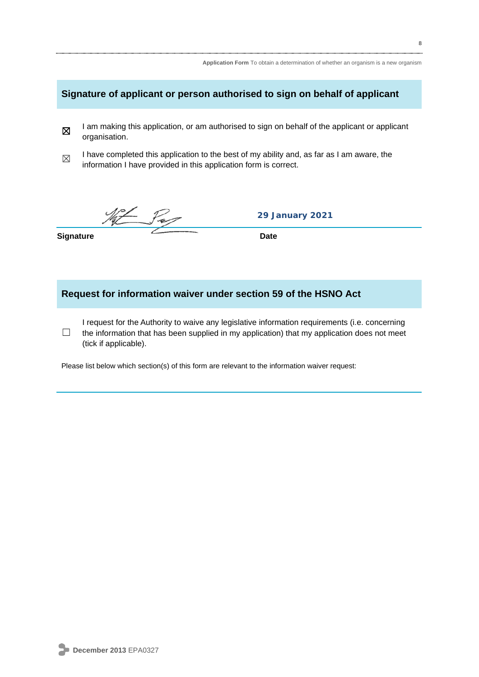|                                                                            | Application Form To obtain a determination of whether an organism is a new organism                                                                                                                                    |  |  |  |
|----------------------------------------------------------------------------|------------------------------------------------------------------------------------------------------------------------------------------------------------------------------------------------------------------------|--|--|--|
| Signature of applicant or person authorised to sign on behalf of applicant |                                                                                                                                                                                                                        |  |  |  |
| 区                                                                          | I am making this application, or am authorised to sign on behalf of the applicant or applicant<br>organisation.                                                                                                        |  |  |  |
| $\boxtimes$                                                                | I have completed this application to the best of my ability and, as far as I am aware, the<br>information I have provided in this application form is correct.                                                         |  |  |  |
|                                                                            | <b>29 January 2021</b>                                                                                                                                                                                                 |  |  |  |
| <b>Signature</b>                                                           | <b>Date</b>                                                                                                                                                                                                            |  |  |  |
| Request for information waiver under section 59 of the HSNO Act            |                                                                                                                                                                                                                        |  |  |  |
|                                                                            | I request for the Authority to waive any legislative information requirements (i.e. concerning<br>the information that has been supplied in my application) that my application does not meet<br>(tick if applicable). |  |  |  |

Please list below which section(s) of this form are relevant to the information waiver request: